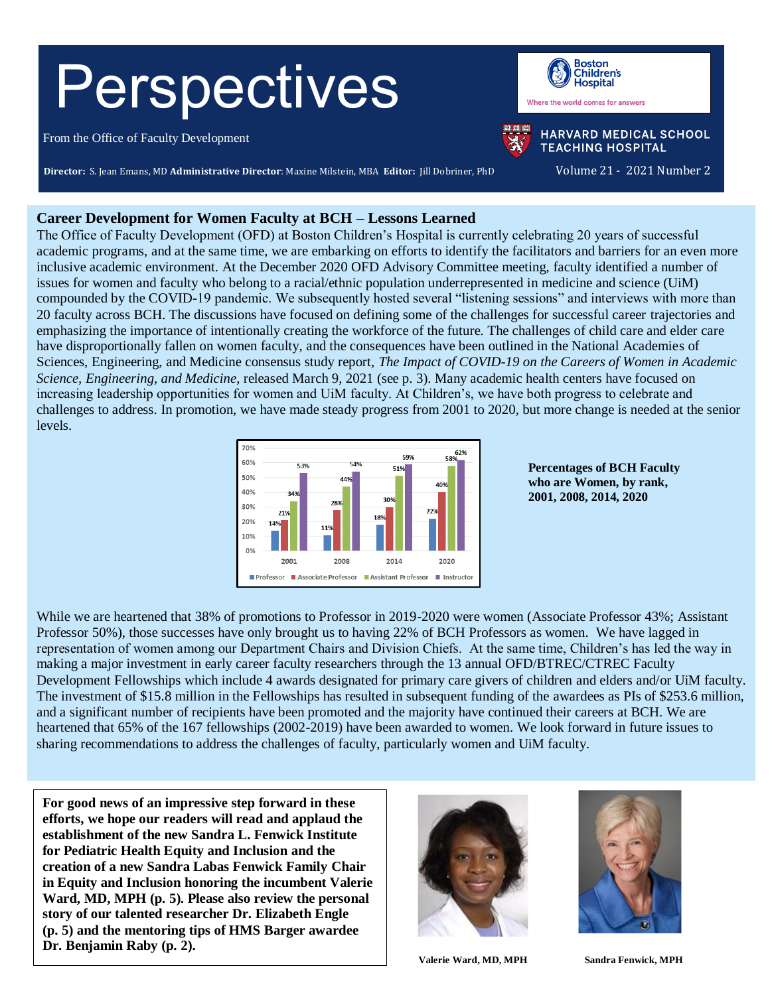# Perspectives

From the Office of Faculty Development

**Boston Children's Hospital** Where the world comes for answers



**HARVARD MEDICAL SCHOOL TEACHING HOSPITAL** 

**Director:** S. Jean Emans, MD **Administrative Director**: Maxine Milstein, MBA **Editor:** Jill Dobriner, PhD Volume 21 - 2021 Number 2

# **Career Development for Women Faculty at BCH – Lessons Learned**

The Office of Faculty Development (OFD) at Boston Children's Hospital is currently celebrating 20 years of successful academic programs, and at the same time, we are embarking on efforts to identify the facilitators and barriers for an even more inclusive academic environment. At the December 2020 OFD Advisory Committee meeting, faculty identified a number of issues for women and faculty who belong to a racial/ethnic population underrepresented in medicine and science (UiM) compounded by the COVID-19 pandemic. We subsequently hosted several "listening sessions" and interviews with more than 20 faculty across BCH. The discussions have focused on defining some of the challenges for successful career trajectories and emphasizing the importance of intentionally creating the workforce of the future. The challenges of child care and elder care have disproportionally fallen on women faculty, and the consequences have been outlined in the National Academies of Sciences, Engineering, and Medicine consensus study report, *The Impact of COVID-19 on the Careers of Women in Academic Science, Engineering, and Medicine*, released March 9, 2021 (see p. 3). Many academic health centers have focused on increasing leadership opportunities for women and UiM faculty. At Children's, we have both progress to celebrate and challenges to address. In promotion, we have made steady progress from 2001 to 2020, but more change is needed at the senior levels.



**Percentages of BCH Faculty who are Women, by rank, 2001, 2008, 2014, 2020**

While we are heartened that 38% of promotions to Professor in 2019-2020 were women (Associate Professor 43%; Assistant Professor 50%), those successes have only brought us to having 22% of BCH Professors as women. We have lagged in representation of women among our Department Chairs and Division Chiefs. At the same time, Children's has led the way in making a major investment in early career faculty researchers through the 13 annual OFD/BTREC/CTREC Faculty Development Fellowships which include 4 awards designated for primary care givers of children and elders and/or UiM faculty. The investment of \$15.8 million in the Fellowships has resulted in subsequent funding of the awardees as PIs of \$253.6 million, and a significant number of recipients have been promoted and the majority have continued their careers at BCH. We are heartened that 65% of the 167 fellowships (2002-2019) have been awarded to women. We look forward in future issues to sharing recommendations to address the challenges of faculty, particularly women and UiM faculty.

**For good news of an impressive step forward in these efforts, we hope our readers will read and applaud the establishment of the new Sandra L. Fenwick Institute for Pediatric Health Equity and Inclusion and the creation of a new Sandra Labas Fenwick Family Chair in Equity and Inclusion honoring the incumbent Valerie Ward, MD, MPH (p. 5). Please also review the personal story of our talented researcher Dr. Elizabeth Engle (p. 5) and the mentoring tips of HMS Barger awardee Dr. Benjamin Raby (p. 2).**





**Valerie Ward, MD, MPH Sandra Fenwick, MPH**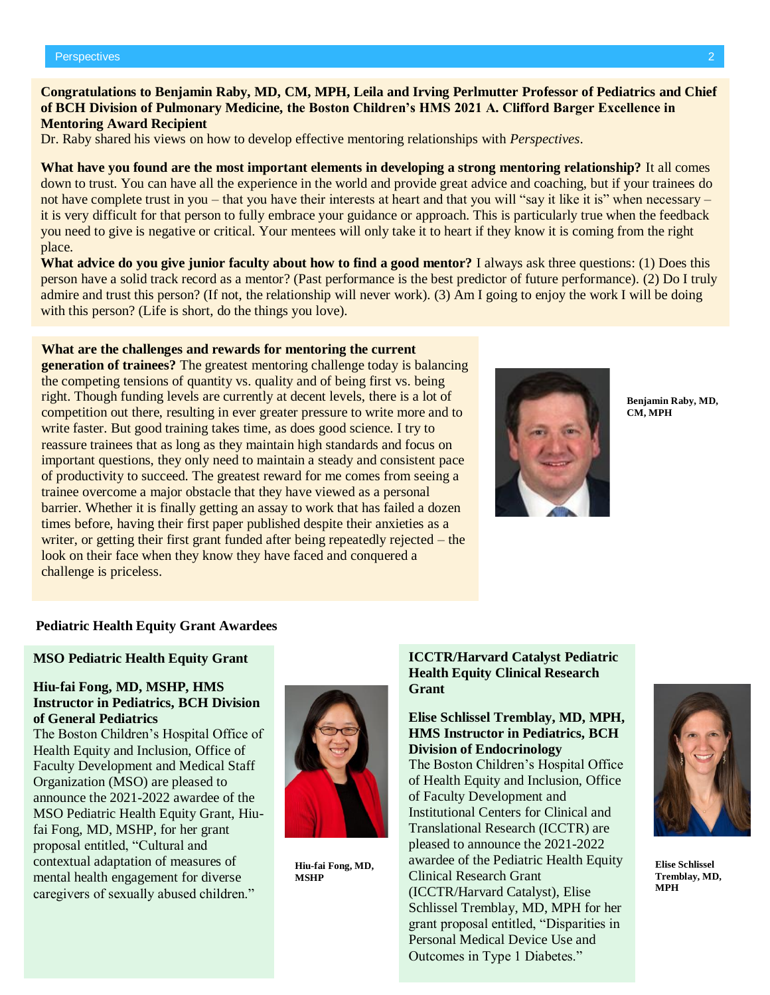### **Congratulations to Benjamin Raby, MD, CM, MPH, Leila and Irving Perlmutter Professor of Pediatrics and Chief of BCH Division of Pulmonary Medicine, the Boston Children's HMS 2021 A. Clifford Barger Excellence in Mentoring Award Recipient**

Dr. Raby shared his views on how to develop effective mentoring relationships with *Perspectives*.

**What have you found are the most important elements in developing a strong mentoring relationship?** It all comes down to trust. You can have all the experience in the world and provide great advice and coaching, but if your trainees do not have complete trust in you – that you have their interests at heart and that you will "say it like it is" when necessary – it is very difficult for that person to fully embrace your guidance or approach. This is particularly true when the feedback you need to give is negative or critical. Your mentees will only take it to heart if they know it is coming from the right place.

**What advice do you give junior faculty about how to find a good mentor?** I always ask three questions: (1) Does this person have a solid track record as a mentor? (Past performance is the best predictor of future performance). (2) Do I truly admire and trust this person? (If not, the relationship will never work). (3) Am I going to enjoy the work I will be doing with this person? (Life is short, do the things you love).

# **What are the challenges and rewards for mentoring the current**

**generation of trainees?** The greatest mentoring challenge today is balancing the competing tensions of quantity vs. quality and of being first vs. being right. Though funding levels are currently at decent levels, there is a lot of competition out there, resulting in ever greater pressure to write more and to write faster. But good training takes time, as does good science. I try to reassure trainees that as long as they maintain high standards and focus on important questions, they only need to maintain a steady and consistent pace of productivity to succeed. The greatest reward for me comes from seeing a trainee overcome a major obstacle that they have viewed as a personal barrier. Whether it is finally getting an assay to work that has failed a dozen times before, having their first paper published despite their anxieties as a writer, or getting their first grant funded after being repeatedly rejected – the look on their face when they know they have faced and conquered a challenge is priceless.



**Benjamin Raby, MD, CM, MPH**

#### **Pediatric Health Equity Grant Awardees**

# **MSO Pediatric Health Equity Grant**

#### **Hiu-fai Fong, MD, MSHP, HMS Instructor in Pediatrics, BCH Division of General Pediatrics**

The Boston Children's Hospital Office of Health Equity and Inclusion, Office of Faculty Development and Medical Staff Organization (MSO) are pleased to announce the 2021-2022 awardee of the MSO Pediatric Health Equity Grant, Hiufai Fong, MD, MSHP, for her grant proposal entitled, "Cultural and contextual adaptation of measures of mental health engagement for diverse caregivers of sexually abused children."



**Hiu-fai Fong, MD, MSHP**

#### **ICCTR/Harvard Catalyst Pediatric Health Equity Clinical Research Grant**

#### **Elise Schlissel Tremblay, MD, MPH, HMS Instructor in Pediatrics, BCH Division of Endocrinology**

The Boston Children's Hospital Office of Health Equity and Inclusion, Office of Faculty Development and Institutional Centers for Clinical and Translational Research (ICCTR) are pleased to announce the 2021-2022 awardee of the Pediatric Health Equity Clinical Research Grant (ICCTR/Harvard Catalyst), Elise Schlissel Tremblay, MD, MPH for her grant proposal entitled, "Disparities in Personal Medical Device Use and Outcomes in Type 1 Diabetes."



**Elise Schlissel Tremblay, MD, MPH**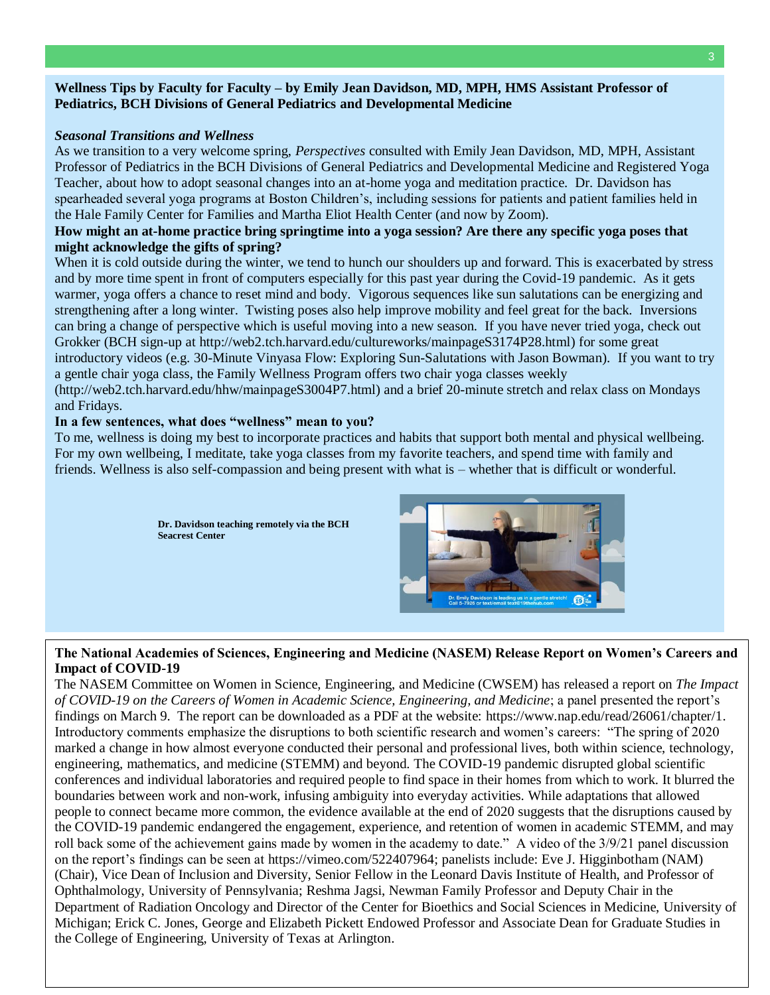#### **Wellness Tips by Faculty for Faculty – by Emily Jean Davidson, MD, MPH, HMS Assistant Professor of Pediatrics, BCH Divisions of General Pediatrics and Developmental Medicine**

#### *Seasonal Transitions and Wellness*

As we transition to a very welcome spring, *Perspectives* consulted with Emily Jean Davidson, MD, MPH, Assistant Professor of Pediatrics in the BCH Divisions of General Pediatrics and Developmental Medicine and Registered Yoga Teacher, about how to adopt seasonal changes into an at-home yoga and meditation practice. Dr. Davidson has spearheaded several yoga programs at Boston Children's, including sessions for patients and patient families held in the Hale Family Center for Families and Martha Eliot Health Center (and now by Zoom).

#### **How might an at-home practice bring springtime into a yoga session? Are there any specific yoga poses that might acknowledge the gifts of spring?**

When it is cold outside during the winter, we tend to hunch our shoulders up and forward. This is exacerbated by stress and by more time spent in front of computers especially for this past year during the Covid-19 pandemic. As it gets warmer, yoga offers a chance to reset mind and body. Vigorous sequences like sun salutations can be energizing and strengthening after a long winter. Twisting poses also help improve mobility and feel great for the back. Inversions can bring a change of perspective which is useful moving into a new season. If you have never tried yoga, check out Grokker (BCH sign-up at [http://web2.tch.harvard.edu/cultureworks/mainpageS3174P28.html\)](http://web2.tch.harvard.edu/cultureworks/mainpageS3174P28.html) for some great introductory videos (e.g. 30-Minute Vinyasa Flow: Exploring Sun-Salutations with Jason Bowman). If you want to try a gentle chair yoga class, the Family Wellness Program offers two chair yoga classes weekly

(http://web2.tch.harvard.edu/hhw/mainpageS3004P7.html) and a brief 20-minute stretch and relax class on Mondays and Fridays.

#### **In a few sentences, what does "wellness" mean to you?**

To me, wellness is doing my best to incorporate practices and habits that support both mental and physical wellbeing. For my own wellbeing, I meditate, take yoga classes from my favorite teachers, and spend time with family and friends. Wellness is also self-compassion and being present with what is – whether that is difficult or wonderful.

> **Dr. Davidson teaching remotely via the BCH Seacrest Center**



# **The National Academies of Sciences, Engineering and Medicine (NASEM) Release Report on Women's Careers and Impact of COVID-19**

The NASEM Committee on Women in Science, Engineering, and Medicine (CWSEM) has released a report on *The Impact of COVID-19 on the Careers of Women in Academic Science, Engineering, and Medicine*; a panel presented the report's findings on March 9. The report can be downloaded as a PDF at the website: [https://www.nap.edu/read/26061/chapter/1.](https://www.nap.edu/read/26061/chapter/1) Introductory comments emphasize the disruptions to both scientific research and women's careers: "The spring of 2020 marked a change in how almost everyone conducted their personal and professional lives, both within science, technology, engineering, mathematics, and medicine (STEMM) and beyond. The COVID-19 pandemic disrupted global scientific conferences and individual laboratories and required people to find space in their homes from which to work. It blurred the boundaries between work and non-work, infusing ambiguity into everyday activities. While adaptations that allowed people to connect became more common, the evidence available at the end of 2020 suggests that the disruptions caused by the COVID-19 pandemic endangered the engagement, experience, and retention of women in academic STEMM, and may roll back some of the achievement gains made by women in the academy to date." A video of the 3/9/21 panel discussion on the report's findings can be seen at [https://vimeo.com/522407964;](https://vimeo.com/522407964) panelists include: Eve J. Higginbotham (NAM) (Chair), Vice Dean of Inclusion and Diversity, Senior Fellow in the Leonard Davis Institute of Health, and Professor of Ophthalmology, University of Pennsylvania; Reshma Jagsi, Newman Family Professor and Deputy Chair in the Department of Radiation Oncology and Director of the Center for Bioethics and Social Sciences in Medicine, University of Michigan; Erick C. Jones, George and Elizabeth Pickett Endowed Professor and Associate Dean for Graduate Studies in the College of Engineering, University of Texas at Arlington.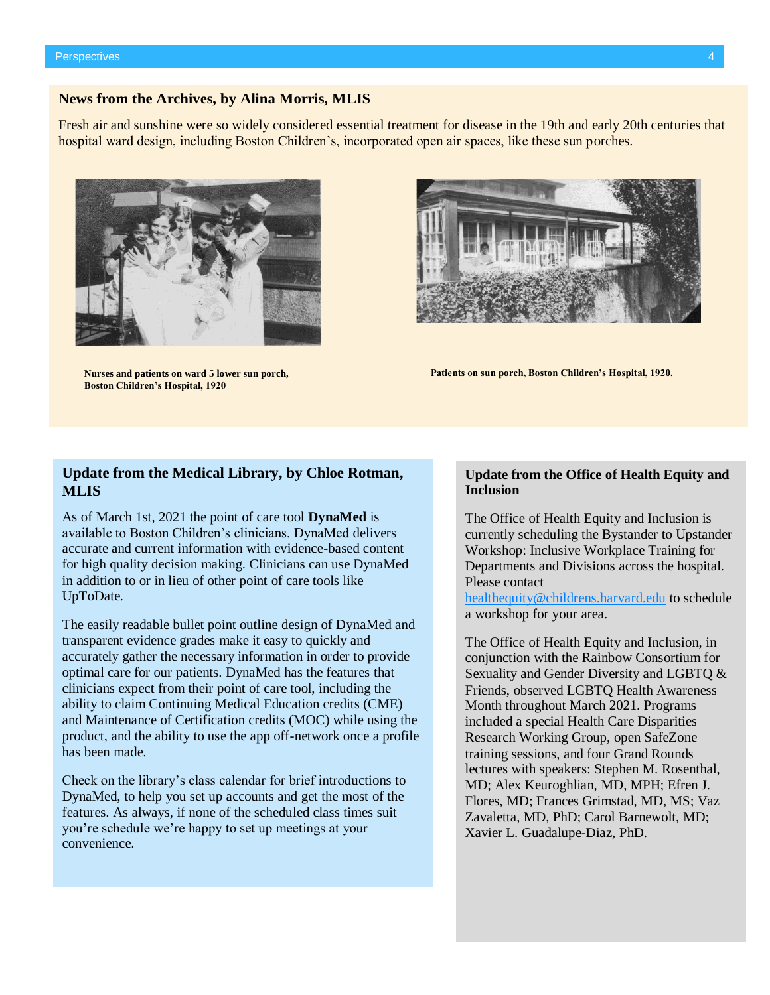#### **News from the Archives, by Alina Morris, MLIS**

Fresh air and sunshine were so widely considered essential treatment for disease in the 19th and early 20th centuries that hospital ward design, including Boston Children's, incorporated open air spaces, like these sun porches.



**Nurses and patients on ward 5 lower sun porch, Boston Children's Hospital, 1920**



**Patients on sun porch, Boston Children's Hospital, 1920.** 

#### **Update from the Medical Library, by Chloe Rotman, MLIS**

As of March 1st, 2021 the point of care tool **[DynaMed](https://www.dynamed.com/)** is available to Boston Children's clinicians. DynaMed delivers accurate and current information with evidence-based content for high quality decision making. Clinicians can use DynaMed in addition to or in lieu of other point of care tools like UpToDate.

The easily readable bullet point outline design of DynaMed and transparent evidence grades make it easy to quickly and accurately gather the necessary information in order to provide optimal care for our patients. DynaMed has the features that clinicians expect from their point of care tool, including the ability to claim Continuing Medical Education credits (CME) and Maintenance of Certification credits (MOC) while using the product, and the ability to use the app off-network once a profile has been made.

Check on the library's class calendar for brief introductions to DynaMed, to help you set up accounts and get the most of the features. As always, if none of the scheduled class times suit you're schedule we're happy to set up meetings at your convenience.

#### **Update from the Office of Health Equity and Inclusion**

The Office of Health Equity and Inclusion is currently scheduling the Bystander to Upstander Workshop: Inclusive Workplace Training for Departments and Divisions across the hospital. Please contact

[healthequity@childrens.harvard.edu](mailto:healthequity@childrens.harvard.edu) to schedule a workshop for your area.

The Office of Health Equity and Inclusion, in conjunction with the Rainbow Consortium for Sexuality and Gender Diversity and LGBTQ & Friends, observed LGBTQ Health Awareness Month throughout March 2021. Programs included a special Health Care Disparities Research Working Group, open SafeZone training sessions, and four Grand Rounds lectures with speakers: Stephen M. Rosenthal, MD; Alex Keuroghlian, MD, MPH; Efren J. Flores, MD; Frances Grimstad, MD, MS; Vaz Zavaletta, MD, PhD; Carol Barnewolt, MD; Xavier L. Guadalupe-Diaz, PhD.